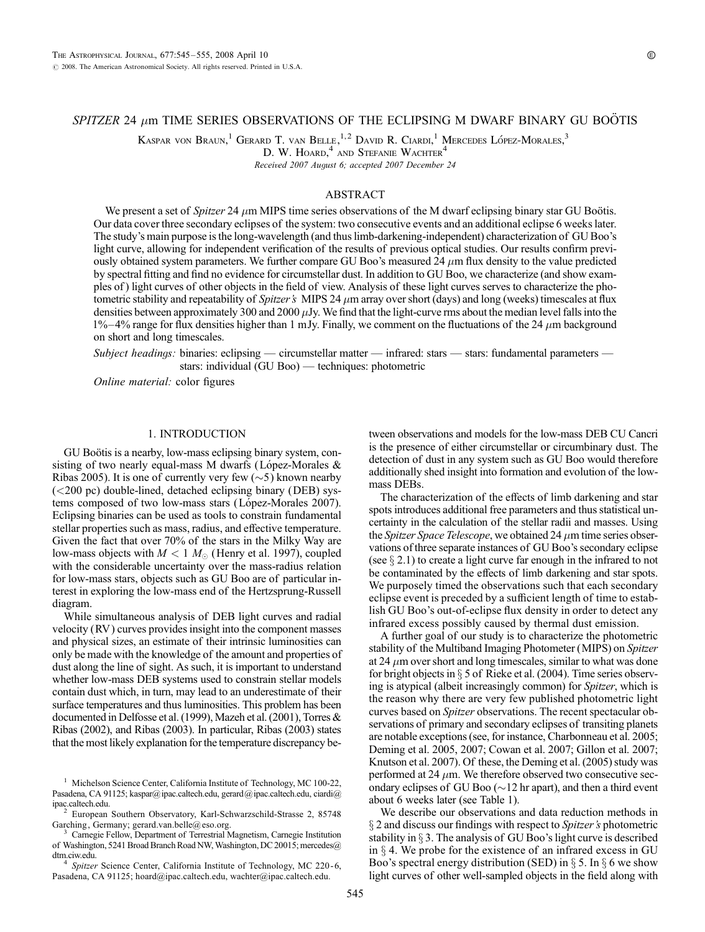# $SPIZER$  24  $\mu$ m TIME SERIES OBSERVATIONS OF THE ECLIPSING M DWARF BINARY GU BOÖTIS

Kaspar von Braun,<sup>1</sup> Gerard T. van Belle,<sup>1,2</sup> David R. Ciardi,<sup>1</sup> Mercedes López-Morales,<sup>3</sup>

D. W. HOARD,<sup>4</sup> and Stefanie Wachter<sup>4</sup>

Received 2007 August 6; accepted 2007 December 24

# ABSTRACT

We present a set of *Spitzer* 24  $\mu$ m MIPS time series observations of the M dwarf eclipsing binary star GU Boötis. Our data cover three secondary eclipses of the system: two consecutive events and an additional eclipse 6 weeks later. The study's main purpose is the long-wavelength (and thus limb-darkening-independent) characterization of GU Boo's light curve, allowing for independent verification of the results of previous optical studies. Our results confirm previously obtained system parameters. We further compare GU Boo's measured 24  $\mu$ m flux density to the value predicted by spectral fitting and find no evidence for circumstellar dust. In addition to GU Boo, we characterize (and show examples of ) light curves of other objects in the field of view. Analysis of these light curves serves to characterize the photometric stability and repeatability of Spitzer's MIPS 24  $\mu$ m array over short (days) and long (weeks) timescales at flux densities between approximately 300 and 2000  $\mu$ Jy. We find that the light-curve rms about the median level falls into the  $1\% - 4\%$  range for flux densities higher than 1 mJy. Finally, we comment on the fluctuations of the 24  $\mu$ m background on short and long timescales.

Subject headings: binaries: eclipsing — circumstellar matter — infrared: stars — stars: fundamental parameters stars: individual (GU Boo) — techniques: photometric

Online material: color figures

# 1. INTRODUCTION

GU Boötis is a nearby, low-mass eclipsing binary system, consisting of two nearly equal-mass M dwarfs (López-Morales  $\&$ Ribas 2005). It is one of currently very few  $(\sim 5)$  known nearby (<200 pc) double-lined, detached eclipsing binary (DEB) systems composed of two low-mass stars (López-Morales 2007). Eclipsing binaries can be used as tools to constrain fundamental stellar properties such as mass, radius, and effective temperature. Given the fact that over 70% of the stars in the Milky Way are low-mass objects with  $M < 1$   $M_{\odot}$  (Henry et al. 1997), coupled with the considerable uncertainty over the mass-radius relation for low-mass stars, objects such as GU Boo are of particular interest in exploring the low-mass end of the Hertzsprung-Russell diagram.

While simultaneous analysis of DEB light curves and radial velocity (RV ) curves provides insight into the component masses and physical sizes, an estimate of their intrinsic luminosities can only be made with the knowledge of the amount and properties of dust along the line of sight. As such, it is important to understand whether low-mass DEB systems used to constrain stellar models contain dust which, in turn, may lead to an underestimate of their surface temperatures and thus luminosities. This problem has been documented in Delfosse et al. (1999), Mazeh et al. (2001), Torres & Ribas (2002), and Ribas (2003). In particular, Ribas (2003) states that the most likely explanation for the temperature discrepancy be-

Pasadena, CA 91125; hoard@ipac.caltech.edu, wachter@ipac.caltech.edu.

tween observations and models for the low-mass DEB CU Cancri is the presence of either circumstellar or circumbinary dust. The detection of dust in any system such as GU Boo would therefore additionally shed insight into formation and evolution of the lowmass DEBs.

The characterization of the effects of limb darkening and star spots introduces additional free parameters and thus statistical uncertainty in the calculation of the stellar radii and masses. Using the Spitzer Space Telescope, we obtained 24  $\mu$ m time series observations of three separate instances of GU Boo's secondary eclipse (see  $\S 2.1$ ) to create a light curve far enough in the infrared to not be contaminated by the effects of limb darkening and star spots. We purposely timed the observations such that each secondary eclipse event is preceded by a sufficient length of time to establish GU Boo's out-of-eclipse flux density in order to detect any infrared excess possibly caused by thermal dust emission.

A further goal of our study is to characterize the photometric stability of the Multiband Imaging Photometer (MIPS) on *Spitzer* at 24  $\mu$ m over short and long timescales, similar to what was done for bright objects in  $\S$  5 of Rieke et al. (2004). Time series observing is atypical (albeit increasingly common) for Spitzer, which is the reason why there are very few published photometric light curves based on Spitzer observations. The recent spectacular observations of primary and secondary eclipses of transiting planets are notable exceptions (see, for instance, Charbonneau et al. 2005; Deming et al. 2005, 2007; Cowan et al. 2007; Gillon et al. 2007; Knutson et al. 2007). Of these, the Deming et al. (2005) study was performed at 24  $\mu$ m. We therefore observed two consecutive secondary eclipses of GU Boo ( $\sim$ 12 hr apart), and then a third event about 6 weeks later (see Table 1).

We describe our observations and data reduction methods in  $\S 2$  and discuss our findings with respect to Spitzer's photometric stability in  $\S 3$ . The analysis of GU Boo's light curve is described in  $\S$  4. We probe for the existence of an infrared excess in GU Boo's spectral energy distribution (SED) in  $\S 5$ . In  $\S 6$  we show light curves of other well-sampled objects in the field along with

<sup>&</sup>lt;sup>1</sup> Michelson Science Center, California Institute of Technology, MC 100-22, Pasadena, CA 91125; kaspar@ipac.caltech.edu, gerard@ipac.caltech.edu, ciardi@<br>ipac.caltech.edu.

European Southern Observatory, Karl-Schwarzschild-Strasse 2, 85748 Garching, Germany; gerard.van.belle@ eso.org.<br><sup>3</sup> Carnegie Fellow, Department of Terrestrial Magnetism, Carnegie Institution

of Washington, 5241 Broad Branch Road NW, Washington, DC 20015; mercedes@ dtm.ciw.edu.<br><sup>4</sup> Spitzer Science Center, California Institute of Technology, MC 220-6,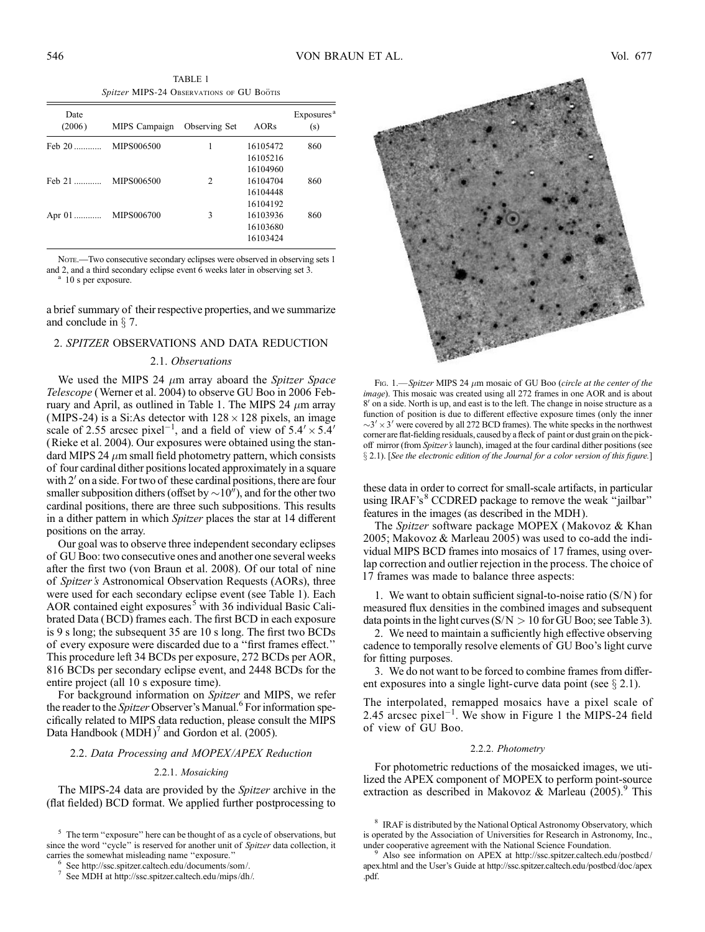TABLE 1 Spitzer MIPS-24 Observations of GU Boötis

| Date<br>(2006)   | MIPS Campaign | Observing Set | AORs     | Exposures <sup>a</sup><br>(s) |
|------------------|---------------|---------------|----------|-------------------------------|
| $Feb$ 20         | MIPS006500    |               | 16105472 | 860                           |
|                  |               |               | 16105216 |                               |
|                  |               |               | 16104960 |                               |
| $\text{Feb } 21$ | MIPS006500    | 2             | 16104704 | 860                           |
|                  |               |               | 16104448 |                               |
|                  |               |               | 16104192 |                               |
| Apr $01$         | MIPS006700    | 3             | 16103936 | 860                           |
|                  |               |               | 16103680 |                               |
|                  |               |               | 16103424 |                               |

NOTE.—Two consecutive secondary eclipses were observed in observing sets 1 and 2, and a third secondary eclipse event 6 weeks later in observing set 3. <sup>a</sup> 10 s per exposure.

a brief summary of their respective properties, and we summarize and conclude in  $\S$  7.

## 2. SPITZER OBSERVATIONS AND DATA REDUCTION

### 2.1. Observations

We used the MIPS 24  $\mu$ m array aboard the Spitzer Space Telescope (Werner et al. 2004) to observe GU Boo in 2006 February and April, as outlined in Table 1. The MIPS 24  $\mu$ m array (MIPS-24) is a Si:As detector with  $128 \times 128$  pixels, an image scale of 2.55 arcsec pixel<sup>-1</sup>, and a field of view of  $5.4' \times 5.4'$ (Rieke et al. 2004). Our exposures were obtained using the standard MIPS 24  $\mu$ m small field photometry pattern, which consists of four cardinal dither positions located approximately in a square with  $2'$  on a side. For two of these cardinal positions, there are four smaller subposition dithers (offset by  $\sim 10^{\prime\prime}$ ), and for the other two cardinal positions, there are three such subpositions. This results in a dither pattern in which Spitzer places the star at 14 different positions on the array.

Our goal was to observe three independent secondary eclipses of GU Boo: two consecutive ones and another one several weeks after the first two (von Braun et al. 2008). Of our total of nine of Spitzer's Astronomical Observation Requests (AORs), three were used for each secondary eclipse event (see Table 1). Each AOR contained eight exposures<sup>5</sup> with 36 individual Basic Calibrated Data (BCD) frames each. The first BCD in each exposure is 9 s long; the subsequent 35 are 10 s long. The first two BCDs of every exposure were discarded due to a ''first frames effect.'' This procedure left 34 BCDs per exposure, 272 BCDs per AOR, 816 BCDs per secondary eclipse event, and 2448 BCDs for the entire project (all 10 s exposure time).

For background information on Spitzer and MIPS, we refer the reader to the *Spitzer* Observer's Manual.<sup>6</sup> For information specifically related to MIPS data reduction, please consult the MIPS Data Handbook  $(MDH)'$  and Gordon et al. (2005).

### 2.2. Data Processing and MOPEX/APEX Reduction

#### 2.2.1. Mosaicking

The MIPS-24 data are provided by the Spitzer archive in the (flat fielded) BCD format. We applied further postprocessing to



Fig. 1.—Spitzer MIPS 24  $\mu$ m mosaic of GU Boo (circle at the center of the image). This mosaic was created using all 272 frames in one AOR and is about  $8'$  on a side. North is up, and east is to the left. The change in noise structure as a function of position is due to different effective exposure times (only the inner  $\sim$ 3'  $\times$  3' were covered by all 272 BCD frames). The white specks in the northwest corner are flat-fielding residuals, caused by a fleck of paint or dust grain on the pickoff mirror (from Spitzer's launch), imaged at the four cardinal dither positions (see  $\S$  2.1). [See the electronic edition of the Journal for a color version of this figure.]

these data in order to correct for small-scale artifacts, in particular using IRAF's<sup>8</sup> CCDRED package to remove the weak "jailbar" features in the images (as described in the MDH ).

The Spitzer software package MOPEX (Makovoz & Khan 2005; Makovoz & Marleau 2005) was used to co-add the individual MIPS BCD frames into mosaics of 17 frames, using overlap correction and outlier rejection in the process. The choice of 17 frames was made to balance three aspects:

1. We want to obtain sufficient signal-to-noise ratio  $(S/N)$  for measured flux densities in the combined images and subsequent data points in the light curves  $(S/N > 10$  for GU Boo; see Table 3).

2. We need to maintain a sufficiently high effective observing cadence to temporally resolve elements of GU Boo's light curve for fitting purposes.

3. We do not want to be forced to combine frames from different exposures into a single light-curve data point (see  $\S 2.1$ ).

The interpolated, remapped mosaics have a pixel scale of 2.45 arcsec pixel<sup>-1</sup>. We show in Figure 1 the MIPS-24 field of view of GU Boo.

#### 2.2.2. Photometry

For photometric reductions of the mosaicked images, we utilized the APEX component of MOPEX to perform point-source extraction as described in Makovoz & Marleau  $(2005)$ .<sup>9</sup> This

 $5$  The term "exposure" here can be thought of as a cycle of observations, but since the word "cycle" is reserved for another unit of Spitzer data collection, it carries the somewhat misleading name "exposure."<br>
<sup>6</sup> See http://ssc.spitzer.caltech.edu/documents/som/.<br>
<sup>7</sup> See MDH at http://ssc.spitzer.caltech.edu/mips/dh/.

<sup>&</sup>lt;sup>8</sup> IRAF is distributed by the National Optical Astronomy Observatory, which is operated by the Association of Universities for Research in Astronomy, Inc.,

Also see information on APEX at http://ssc.spitzer.caltech.edu/postbcd/ apex.html and the User's Guide at http://ssc.spitzer.caltech.edu/postbcd/doc/apex .pdf.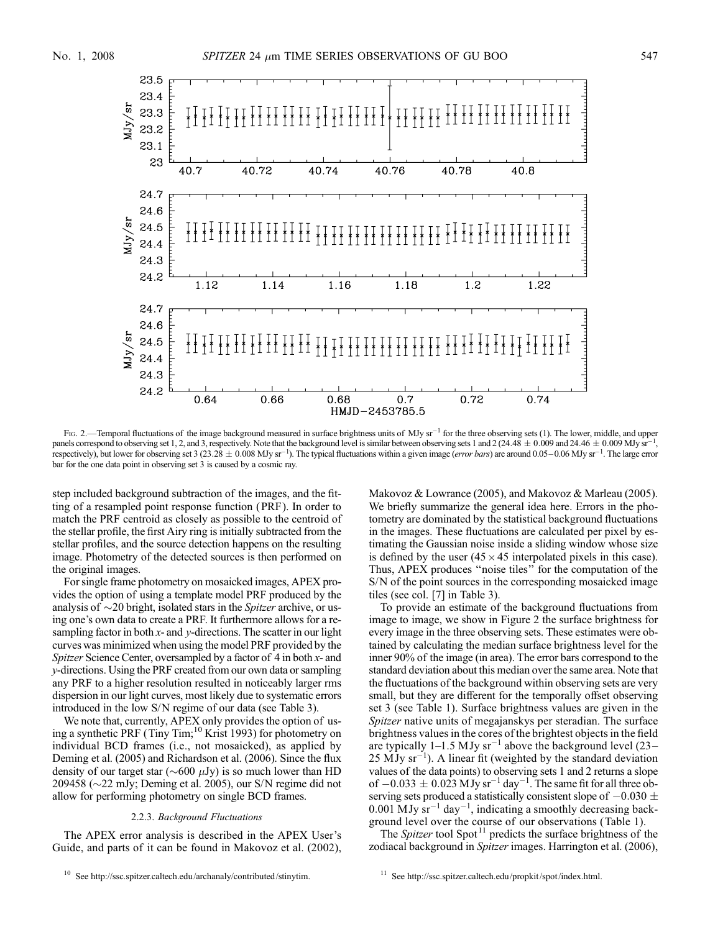

Fig. 2.—Temporal fluctuations of the image background measured in surface brightness units of MJy sr<sup>-1</sup> for the three observing sets (1). The lower, middle, and upper panels correspond to observing set 1, 2, and 3, respectively. Note that the background level is similar between observing sets 1 and 2 (24.48  $\pm$  0.009 and 24.46  $\pm$  0.009 MJy sr<sup>-1</sup>, respectively), but lower for observing set 3 (23.28  $\pm$  0.008 MJy sr<sup>-1</sup>). The typical fluctuations within a given image (error bars) are around 0.05-0.06 MJy sr<sup>-1</sup>. The large error bar for the one data point in observing set 3 is caused by a cosmic ray.

step included background subtraction of the images, and the fitting of a resampled point response function (PRF). In order to match the PRF centroid as closely as possible to the centroid of the stellar profile, the first Airy ring is initially subtracted from the stellar profiles, and the source detection happens on the resulting image. Photometry of the detected sources is then performed on the original images.

For single frame photometry on mosaicked images, APEX provides the option of using a template model PRF produced by the analysis of  $\sim$ 20 bright, isolated stars in the *Spitzer* archive, or using one's own data to create a PRF. It furthermore allows for a resampling factor in both  $x$ - and  $y$ -directions. The scatter in our light curves was minimized when using the model PRF provided by the Spitzer Science Center, oversampled by a factor of  $4$  in both  $x$ - and y-directions. Using the PRF created from our own data or sampling any PRF to a higher resolution resulted in noticeably larger rms dispersion in our light curves, most likely due to systematic errors introduced in the low S/N regime of our data (see Table 3).

We note that, currently, APEX only provides the option of using a synthetic PRF (Tiny Tim;<sup>10</sup> Krist 1993) for photometry on individual BCD frames (i.e., not mosaicked), as applied by Deming et al. (2005) and Richardson et al. (2006). Since the flux density of our target star ( $\sim$ 600  $\mu$ Jy) is so much lower than HD 209458 ( $\sim$ 22 mJy; Deming et al. 2005), our S/N regime did not allow for performing photometry on single BCD frames.

### 2.2.3. Background Fluctuations

The APEX error analysis is described in the APEX User's Guide, and parts of it can be found in Makovoz et al. (2002), Makovoz & Lowrance (2005), and Makovoz & Marleau (2005). We briefly summarize the general idea here. Errors in the photometry are dominated by the statistical background fluctuations in the images. These fluctuations are calculated per pixel by estimating the Gaussian noise inside a sliding window whose size is defined by the user  $(45 \times 45)$  interpolated pixels in this case). Thus, APEX produces ''noise tiles'' for the computation of the S/N of the point sources in the corresponding mosaicked image tiles (see col. [7] in Table 3).

To provide an estimate of the background fluctuations from image to image, we show in Figure 2 the surface brightness for every image in the three observing sets. These estimates were obtained by calculating the median surface brightness level for the inner 90% of the image (in area). The error bars correspond to the standard deviation about this median over the same area. Note that the fluctuations of the background within observing sets are very small, but they are different for the temporally offset observing set 3 (see Table 1). Surface brightness values are given in the Spitzer native units of megajanskys per steradian. The surface brightness values in the cores of the brightest objects in the field are typically 1–1.5 MJy  $sr^{-1}$  above the background level (23–  $25 \text{ MJy} \text{ sr}^{-1}$ ). A linear fit (weighted by the standard deviation values of the data points) to observing sets 1 and 2 returns a slope of  $-0.033 \pm 0.023$  MJy sr<sup>-1</sup> day<sup>-1</sup>. The same fit for all three observing sets produced a statistically consistent slope of  $-0.030 \pm 0.030$  $0.001$  MJy  $sr^{-1}$  day<sup>-1</sup>, indicating a smoothly decreasing background level over the course of our observations (Table 1).

The *Spitzer* tool Spot<sup>11</sup> predicts the surface brightness of the zodiacal background in *Spitzer* images. Harrington et al. (2006),

<sup>10</sup> See http://ssc.spitzer.caltech.edu/archanaly/contributed/stinytim.

<sup>11</sup> See http://ssc.spitzer.caltech.edu/propkit/spot/index.html.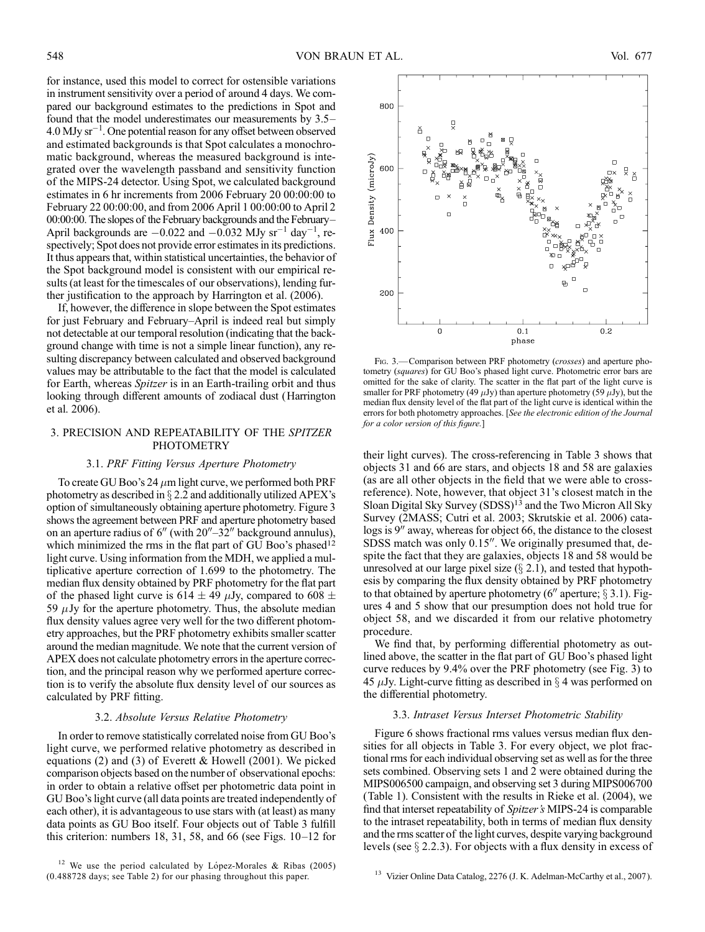for instance, used this model to correct for ostensible variations in instrument sensitivity over a period of around 4 days. We compared our background estimates to the predictions in Spot and found that the model underestimates our measurements by  $3.5 4.0$  MJy sr<sup>-1</sup>. One potential reason for any offset between observed and estimated backgrounds is that Spot calculates a monochromatic background, whereas the measured background is integrated over the wavelength passband and sensitivity function of the MIPS-24 detector. Using Spot, we calculated background estimates in 6 hr increments from 2006 February 20 00:00:00 to February 22 00:00:00, and from 2006 April 1 00:00:00 to April 2  $00:00:00$ . The slopes of the February backgrounds and the February-April backgrounds are  $-0.022$  and  $-0.032$  MJy sr<sup>-1</sup> day<sup>-1</sup>, respectively; Spot does not provide error estimates in its predictions. It thus appears that, within statistical uncertainties, the behavior of the Spot background model is consistent with our empirical results (at least for the timescales of our observations), lending further justification to the approach by Harrington et al. (2006).

If, however, the difference in slope between the Spot estimates for just February and February–April is indeed real but simply not detectable at our temporal resolution (indicating that the background change with time is not a simple linear function), any resulting discrepancy between calculated and observed background values may be attributable to the fact that the model is calculated for Earth, whereas *Spitzer* is in an Earth-trailing orbit and thus looking through different amounts of zodiacal dust (Harrington et al. 2006).

# 3. PRECISION AND REPEATABILITY OF THE SPITZER PHOTOMETRY

### 3.1. PRF Fitting Versus Aperture Photometry

To create GU Boo's 24  $\mu$ m light curve, we performed both PRF photometry as described in  $\S$  2.2 and additionally utilized APEX's option of simultaneously obtaining aperture photometry. Figure 3 shows the agreement between PRF and aperture photometry based on an aperture radius of  $6''$  (with  $20''-32''$  background annulus), which minimized the rms in the flat part of GU Boo's phased<sup>12</sup> light curve. Using information from the MDH, we applied a multiplicative aperture correction of 1.699 to the photometry. The median flux density obtained by PRF photometry for the flat part of the phased light curve is 614  $\pm$  49  $\mu$ Jy, compared to 608  $\pm$ 59  $\mu$ Jy for the aperture photometry. Thus, the absolute median flux density values agree very well for the two different photometry approaches, but the PRF photometry exhibits smaller scatter around the median magnitude. We note that the current version of APEX does not calculate photometry errors in the aperture correction, and the principal reason why we performed aperture correction is to verify the absolute flux density level of our sources as calculated by PRF fitting.

#### 3.2. Absolute Versus Relative Photometry

In order to remove statistically correlated noise from GU Boo's light curve, we performed relative photometry as described in equations (2) and (3) of Everett & Howell (2001). We picked comparison objects based on the number of observational epochs: in order to obtain a relative offset per photometric data point in GU Boo's light curve (all data points are treated independently of each other), it is advantageous to use stars with (at least) as many data points as GU Boo itself. Four objects out of Table 3 fulfill this criterion: numbers 18, 31, 58, and 66 (see Figs.  $10-12$  for



Fig. 3.—Comparison between PRF photometry (*crosses*) and aperture photometry (squares) for GU Boo's phased light curve. Photometric error bars are omitted for the sake of clarity. The scatter in the flat part of the light curve is smaller for PRF photometry (49  $\mu$ Jy) than aperture photometry (59  $\mu$ Jy), but the median flux density level of the flat part of the light curve is identical within the errors for both photometry approaches. [See the electronic edition of the Journal for a color version of this figure.]

their light curves). The cross-referencing in Table 3 shows that objects 31 and 66 are stars, and objects 18 and 58 are galaxies (as are all other objects in the field that we were able to crossreference). Note, however, that object 31's closest match in the Sloan Digital Sky Survey (SDSS)<sup>13</sup> and the Two Micron All Sky Survey (2MASS; Cutri et al. 2003; Skrutskie et al. 2006) catalogs is  $9''$  away, whereas for object 66, the distance to the closest SDSS match was only  $0.15$ ". We originally presumed that, despite the fact that they are galaxies, objects 18 and 58 would be unresolved at our large pixel size  $(\S 2.1)$ , and tested that hypothesis by comparing the flux density obtained by PRF photometry to that obtained by aperture photometry (6<sup>n</sup> aperture;  $\S$  3.1). Figures 4 and 5 show that our presumption does not hold true for object 58, and we discarded it from our relative photometry procedure.

We find that, by performing differential photometry as outlined above, the scatter in the flat part of GU Boo's phased light curve reduces by 9.4% over the PRF photometry (see Fig. 3) to 45  $\mu$ Jy. Light-curve fitting as described in § 4 was performed on the differential photometry.

## 3.3. Intraset Versus Interset Photometric Stability

Figure 6 shows fractional rms values versus median flux densities for all objects in Table 3. For every object, we plot fractional rms for each individual observing set as well as for the three sets combined. Observing sets 1 and 2 were obtained during the MIPS006500 campaign, and observing set 3 during MIPS006700 (Table 1). Consistent with the results in Rieke et al. (2004), we find that interset repeatability of Spitzer's MIPS-24 is comparable to the intraset repeatability, both in terms of median flux density and the rms scatter of the light curves, despite varying background levels (see  $\S 2.2.3$ ). For objects with a flux density in excess of

<sup>&</sup>lt;sup>12</sup> We use the period calculated by López-Morales & Ribas (2005) (0.488728 days; see Table 2) for our phasing throughout this paper.

<sup>&</sup>lt;sup>13</sup> Vizier Online Data Catalog, 2276 (J. K. Adelman-McCarthy et al., 2007).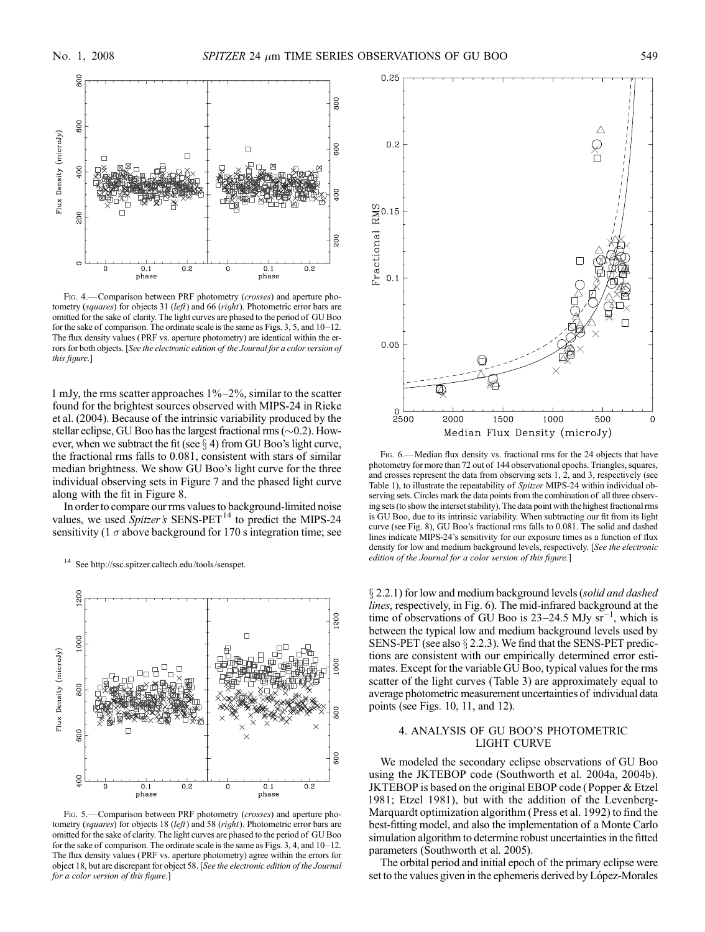

FIG. 4.—Comparison between PRF photometry (crosses) and aperture photometry (squares) for objects 31 (left) and 66 (right). Photometric error bars are omitted for the sake of clarity. The light curves are phased to the period of GU Boo for the sake of comparison. The ordinate scale is the same as Figs.  $3, 5$ , and  $10-12$ . The flux density values ( PRF vs. aperture photometry) are identical within the errors for both objects. [See the electronic edition of the Journal for a color version of this figure.]

1 mJy, the rms scatter approaches  $1\% - 2\%$ , similar to the scatter found for the brightest sources observed with MIPS-24 in Rieke et al. (2004). Because of the intrinsic variability produced by the stellar eclipse, GU Boo has the largest fractional rms  $(\sim 0.2)$ . However, when we subtract the fit (see  $\S$  4) from GU Boo's light curve, the fractional rms falls to 0.081, consistent with stars of similar median brightness. We show GU Boo's light curve for the three individual observing sets in Figure 7 and the phased light curve along with the fit in Figure 8.

In order to compare our rms values to background-limited noise values, we used  $\overline{Spitzer}$ 's SENS-PET<sup>14</sup> to predict the MIPS-24 sensitivity (1  $\sigma$  above background for 170 s integration time; see



FIG. 5.—Comparison between PRF photometry (crosses) and aperture photometry (squares) for objects 18 (left) and 58 (right). Photometric error bars are omitted for the sake of clarity. The light curves are phased to the period of GU Boo for the sake of comparison. The ordinate scale is the same as Figs.  $3, 4$ , and  $10-12$ . The flux density values ( PRF vs. aperture photometry) agree within the errors for object 18, but are discrepant for object 58. [See the electronic edition of the Journal for a color version of this figure.]



F<sub>IG</sub>. 6.—Median flux density vs. fractional rms for the 24 objects that have photometry for more than 72 out of 144 observational epochs. Triangles, squares, and crosses represent the data from observing sets 1, 2, and 3, respectively (see Table 1), to illustrate the repeatability of Spitzer MIPS-24 within individual observing sets. Circles mark the data points from the combination of all three observing sets (to show the interset stability). The data point with the highest fractional rms is GU Boo, due to its intrinsic variability. When subtracting our fit from its light curve (see Fig. 8), GU Boo's fractional rms falls to 0.081. The solid and dashed lines indicate MIPS-24's sensitivity for our exposure times as a function of flux density for low and medium background levels, respectively. [See the electronic <sup>14</sup> See http://ssc.spitzer.caltech.edu/tools/senspet.<br>
2014 March 2017 edition of the Journal for a color version of this figure.]

 $\S$  2.2.1) for low and medium background levels (solid and dashed lines, respectively, in Fig. 6). The mid-infrared background at the time of observations of  $\overline{GU}$  Boo is 23–24.5 MJy  $\overline{sr}^{-1}$ , which is between the typical low and medium background levels used by SENS-PET (see also  $\S$  2.2.3). We find that the SENS-PET predictions are consistent with our empirically determined error estimates. Except for the variable GU Boo, typical values for the rms scatter of the light curves (Table 3) are approximately equal to average photometric measurement uncertainties of individual data points (see Figs. 10, 11, and 12).

# 4. ANALYSIS OF GU BOO'S PHOTOMETRIC LIGHT CURVE

We modeled the secondary eclipse observations of GU Boo using the JKTEBOP code (Southworth et al. 2004a, 2004b). JKTEBOP is based on the original EBOP code (Popper & Etzel 1981; Etzel 1981), but with the addition of the Levenberg-Marquardt optimization algorithm (Press et al. 1992) to find the best-fitting model, and also the implementation of a Monte Carlo simulation algorithm to determine robust uncertainties in the fitted parameters (Southworth et al. 2005).

The orbital period and initial epoch of the primary eclipse were set to the values given in the ephemeris derived by López-Morales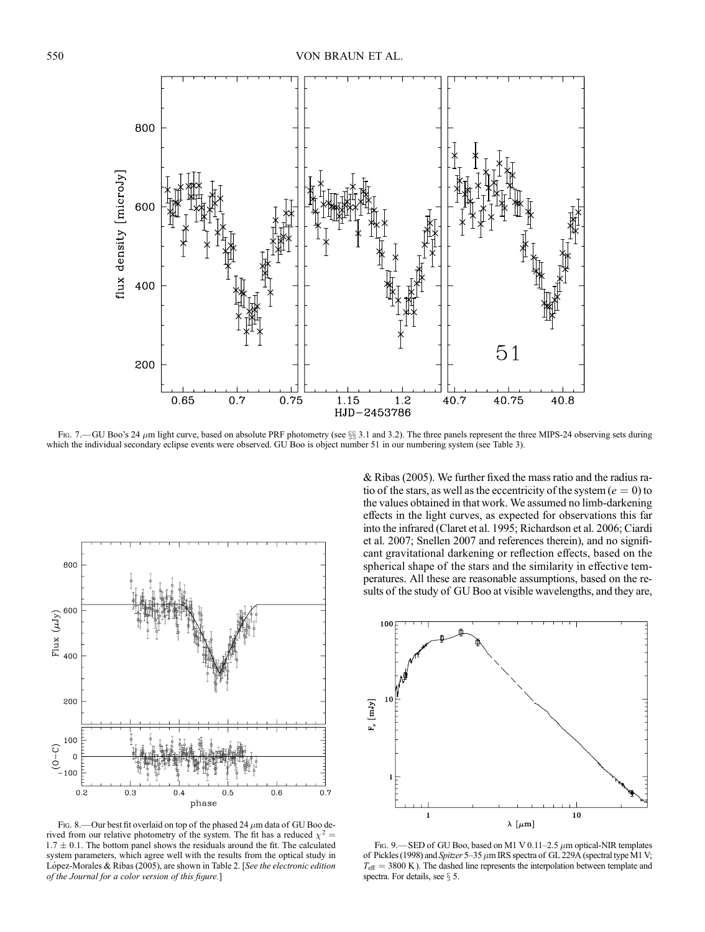

Fig. 7.—GU Boo's 24  $\mu$ m light curve, based on absolute PRF photometry (see §§ 3.1 and 3.2). The three panels represent the three MIPS-24 observing sets during which the individual secondary eclipse events were observed. GU Boo is object number 51 in our numbering system (see Table 3).



FIG. 8.—Our best fit overlaid on top of the phased 24  $\mu$ m data of GU Boo derived from our relative photometry of the system. The fit has a reduced  $\chi^2$  =  $1.7 \pm 0.1$ . The bottom panel shows the residuals around the fit. The calculated system parameters, which agree well with the results from the optical study in López-Morales & Ribas (2005), are shown in Table 2. [See the electronic edition of the Journal for a color version of this figure.]

& Ribas (2005). We further fixed the mass ratio and the radius ratio of the stars, as well as the eccentricity of the system ( $e = 0$ ) to the values obtained in that work. We assumed no limb-darkening effects in the light curves, as expected for observations this far into the infrared (Claret et al. 1995; Richardson et al. 2006; Ciardi et al. 2007; Snellen 2007 and references therein), and no significant gravitational darkening or reflection effects, based on the spherical shape of the stars and the similarity in effective temperatures. All these are reasonable assumptions, based on the results of the study of GU Boo at visible wavelengths, and they are,



FIG. 9. - SED of GU Boo, based on M1 V 0.11-2.5  $\mu$ m optical-NIR templates of Pickles (1998) and Spitzer 5-35  $\mu$ m IRS spectra of GL 229A (spectral type M1 V;  $T_{\text{eff}}$  = 3800 K). The dashed line represents the interpolation between template and spectra. For details, see  $\S$  5.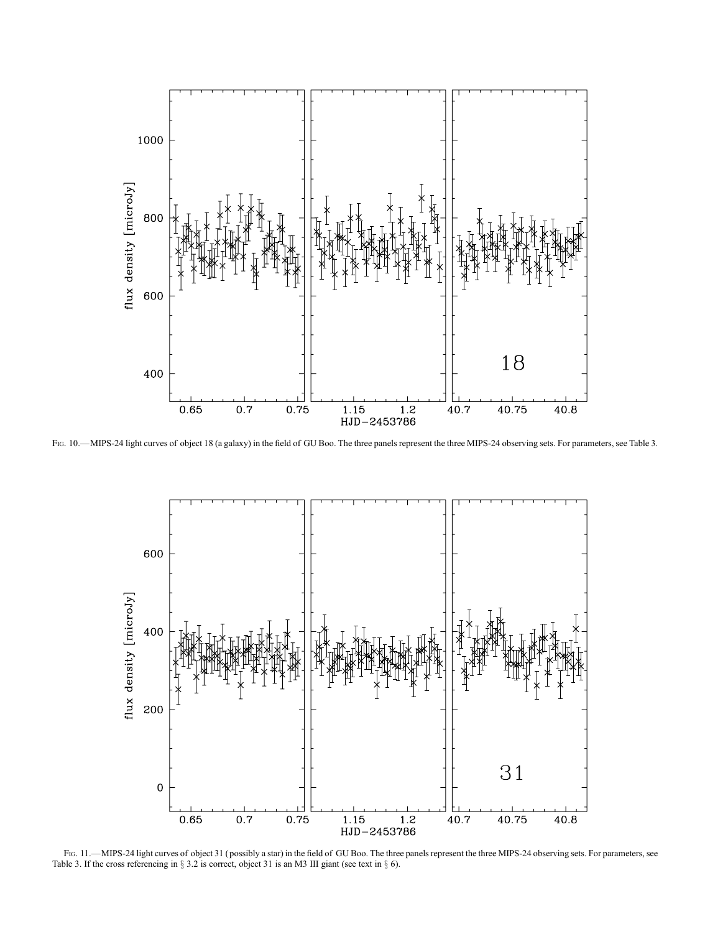

Fig. 10.—MIPS-24 light curves of object 18 (a galaxy) in the field of GU Boo. The three panels represent the three MIPS-24 observing sets. For parameters, see Table 3.



FIG. 11.—MIPS-24 light curves of object 31 (possibly a star) in the field of GU Boo. The three panels represent the three MIPS-24 observing sets. For parameters, see Table 3. If the cross referencing in  $\S 3.2$  is correct, object 31 is an M3 III giant (see text in  $\S 6$ ).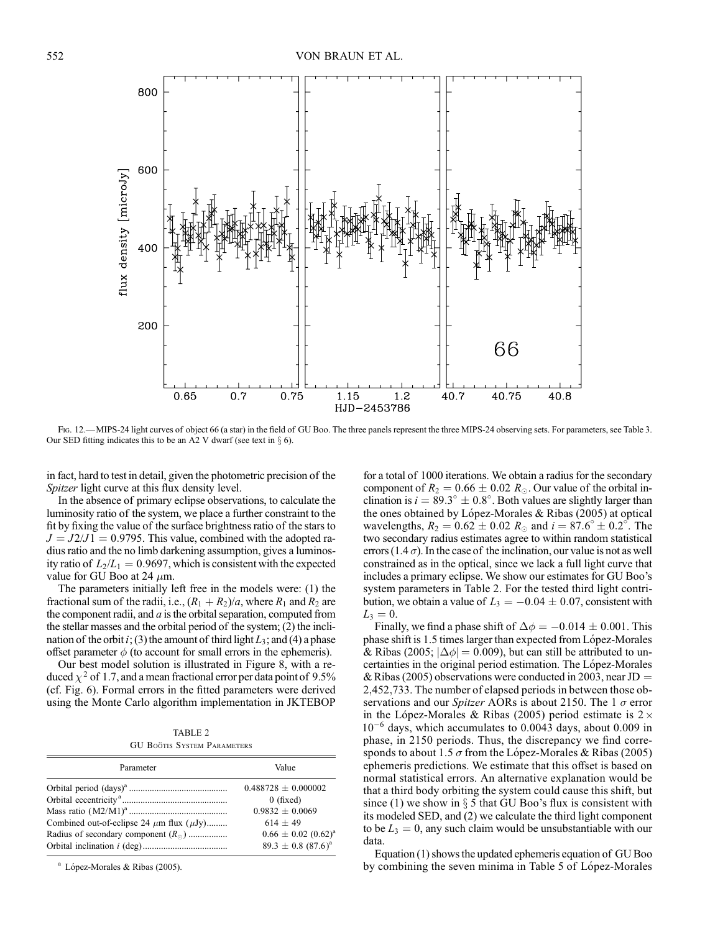

Fig. 12.—MIPS-24 light curves of object 66 (a star) in the field of GU Boo. The three panels represent the three MIPS-24 observing sets. For parameters, see Table 3. Our SED fitting indicates this to be an A2 V dwarf (see text in  $\S$  6).

in fact, hard to test in detail, given the photometric precision of the Spitzer light curve at this flux density level.

In the absence of primary eclipse observations, to calculate the luminosity ratio of the system, we place a further constraint to the fit by fixing the value of the surface brightness ratio of the stars to  $J = J2/J1 = 0.9795$ . This value, combined with the adopted radius ratio and the no limb darkening assumption, gives a luminosity ratio of  $L_2/L_1 = 0.9697$ , which is consistent with the expected value for GU Boo at 24  $\mu$ m.

The parameters initially left free in the models were: (1) the fractional sum of the radii, i.e.,  $(R_1 + R_2)/a$ , where  $R_1$  and  $R_2$  are the component radii, and  $a$  is the orbital separation, computed from the stellar masses and the orbital period of the system; (2) the inclination of the orbit i; (3) the amount of third light  $L_3$ ; and (4) a phase offset parameter  $\phi$  (to account for small errors in the ephemeris).

Our best model solution is illustrated in Figure 8, with a reduced  $\chi^2$  of 1.7, and a mean fractional error per data point of 9.5% (cf. Fig. 6). Formal errors in the fitted parameters were derived using the Monte Carlo algorithm implementation in JKTEBOP

TABLE 2 GU BOÖTIS SYSTEM PARAMETERS

| Parameter                                          | Value                      |
|----------------------------------------------------|----------------------------|
|                                                    | $0.488728 + 0.000002$      |
|                                                    | $0$ (fixed)                |
|                                                    | $0.9832 \pm 0.0069$        |
| Combined out-of-eclipse 24 $\mu$ m flux $(\mu Jy)$ | $614 + 49$                 |
| Radius of secondary component $(R_{\odot})$        | $0.66 \pm 0.02$ $(0.62)^a$ |
|                                                    | $89.3 \pm 0.8$ $(87.6)^a$  |

<sup>a</sup> López-Morales & Ribas (2005).

for a total of 1000 iterations. We obtain a radius for the secondary component of  $R_2 = 0.66 \pm 0.02 R_{\odot}$ . Our value of the orbital inclination is  $i = 89.3^{\circ} \pm 0.8^{\circ}$ . Both values are slightly larger than the ones obtained by López-Morales & Ribas (2005) at optical wavelengths,  $R_2 = 0.62 \pm 0.02$   $R_{\odot}$  and  $i = 87.6^{\circ} \pm 0.2^{\circ}$ . The two secondary radius estimates agree to within random statistical errors (1.4  $\sigma$ ). In the case of the inclination, our value is not as well constrained as in the optical, since we lack a full light curve that includes a primary eclipse. We show our estimates for GU Boo's system parameters in Table 2. For the tested third light contribution, we obtain a value of  $L_3 = -0.04 \pm 0.07$ , consistent with  $L_3 = 0.$ 

Finally, we find a phase shift of  $\Delta \phi = -0.014 \pm 0.001$ . This phase shift is 1.5 times larger than expected from López-Morales & Ribas (2005;  $|\Delta \phi| = 0.009$ ), but can still be attributed to uncertainties in the original period estimation. The López-Morales & Ribas (2005) observations were conducted in 2003, near JD  $=$ 2;452;733. The number of elapsed periods in between those observations and our *Spitzer* AORs is about 2150. The 1  $\sigma$  error in the López-Morales & Ribas (2005) period estimate is  $2 \times$  $10^{-6}$  days, which accumulates to 0.0043 days, about 0.009 in phase, in 2150 periods. Thus, the discrepancy we find corresponds to about 1.5  $\sigma$  from the López-Morales & Ribas (2005) ephemeris predictions. We estimate that this offset is based on normal statistical errors. An alternative explanation would be that a third body orbiting the system could cause this shift, but since (1) we show in  $\S$  5 that GU Boo's flux is consistent with its modeled SED, and (2) we calculate the third light component to be  $L_3 = 0$ , any such claim would be unsubstantiable with our data.

Equation (1) shows the updated ephemeris equation of GU Boo by combining the seven minima in Table 5 of Lonez-Morales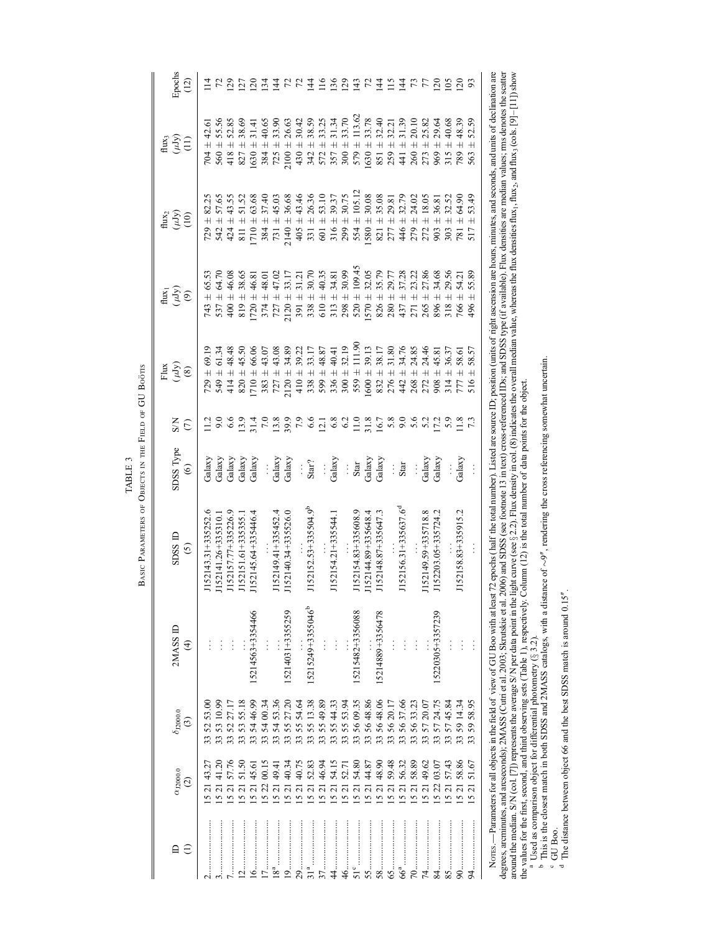BASIC PARAMETERS OF OBJECTS IN THE FIELD OF GU BOÖTIS Basic Parameters of Objects in the Field of GU Boötis TABLE 3 TABLE 3

|  | $\frac{1}{2}$                  | 2MASS ID                      |
|--|--------------------------------|-------------------------------|
|  | $\tilde{c}$                    | $\widehat{\mathcal{F}}$       |
|  | 52143.31+335252.               |                               |
|  | 52141.26+335310.1              |                               |
|  | 52157.77+335226.9              |                               |
|  | 52151.61+335355.1              |                               |
|  | 52145.64+335446.4              | 5214563+3354466               |
|  |                                | $\frac{1}{2}$                 |
|  | 52149.41+335452.4              |                               |
|  | 52140.34+335526.0              | 5214031+3355259               |
|  |                                |                               |
|  | 52152.53+335504.9 <sup>b</sup> | 15215249+3355046 <sup>b</sup> |
|  |                                |                               |
|  | 52154.21+335544.1              | $\vdots$                      |
|  |                                |                               |
|  | 52154.83+335608.9              | 5215482+3356088               |
|  | 52144.89+335648.4              |                               |
|  | 52148.87+335647.3              | 15214889+3356478              |
|  |                                |                               |
|  | 52156.31+335637.6 <sup>d</sup> |                               |
|  |                                |                               |
|  | 152149.59+335718.8             |                               |
|  | 152203.05+335724.2             | 5220305+3357239               |
|  |                                |                               |
|  | 52158.83+335915.2              |                               |
|  |                                | $\vdots$                      |

Nores. —Parameters for all objects in the field of view of GU Boo with at least 72 epochs (half the total number). Listed are source ID; position (units of right ascension are hours, minutes, and seconds, and units of decl degrees, arcminutes, and arcseconds); 2MASS (Cutri et al. 2003; Skrutskie et al. 2006) and SDSS (see footnote 13 in text) cross-referenced IDs; and SDSS type (if available). Flux densities are median values; mus denotes th around the median. S/N (col. [7]) represents the average S/N per data point in the light curve (see § 2.2). Flux density in col. (8) indicates the overall median value, whereas the flux densities flux, hux, and flux, [01] the values for the first, second, and third observing sets (Table 1), respectively. Column (12) is the total number of data points for the object. Norrs.—Parameters for all objects in the field of view of GU Boo with at least 72 epochs (half the total number). Listed are source ID; position (units of right ascension are hours, minutes, and areconds, declination are<br>d

 $\mu$  Used as comparison object for differential photometry ( $\S$  3.2).

<sup>b</sup> This is the closest match in both SDSS and 2MASS catalogs, with a distance of  $\sim$ 9", rendering the cross referencing somewhat uncertain.

ು ರ GU Boo.

 $\degree$  The distance between object 66 and the best SDSS match is around 0.15 $\degree$ .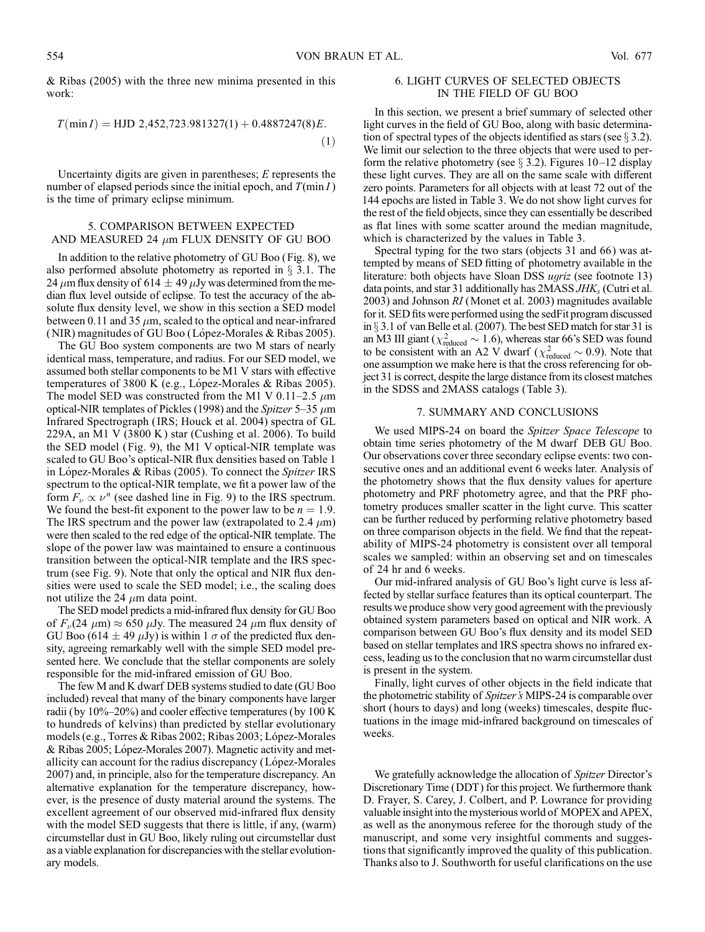& Ribas (2005) with the three new minima presented in this work:

$$
T(\min I) = \text{HJD } 2,452,723.981327(1) + 0.4887247(8)E. \tag{1}
$$

Uncertainty digits are given in parentheses; E represents the number of elapsed periods since the initial epoch, and  $T(\min I)$ is the time of primary eclipse minimum.

# 5. COMPARISON BETWEEN EXPECTED AND MEASURED 24  $\mu$ m FLUX DENSITY OF GU BOO

In addition to the relative photometry of GU Boo (Fig. 8), we also performed absolute photometry as reported in  $\S$  3.1. The 24  $\mu$ m flux density of 614  $\pm$  49  $\mu$ Jy was determined from the median flux level outside of eclipse. To test the accuracy of the absolute flux density level, we show in this section a SED model between 0.11 and 35  $\mu$ m, scaled to the optical and near-infrared (NIR) magnitudes of GU Boo (López-Morales  $&$  Ribas 2005).

The GU Boo system components are two M stars of nearly identical mass, temperature, and radius. For our SED model, we assumed both stellar components to be M1 V stars with effective temperatures of 3800 K (e.g., López-Morales & Ribas 2005). The model SED was constructed from the M1 V 0.11–2.5  $\mu$ m optical-NIR templates of Pickles (1998) and the *Spitzer* 5–35  $\mu$ m Infrared Spectrograph ( IRS; Houck et al. 2004) spectra of GL 229A, an M1 V (3800 K ) star (Cushing et al. 2006). To build the SED model (Fig. 9), the M1 V optical-NIR template was scaled to GU Boo's optical-NIR flux densities based on Table 1 in López-Morales & Ribas (2005). To connect the Spitzer IRS spectrum to the optical-NIR template, we fit a power law of the form  $F_{\nu} \propto \nu^n$  (see dashed line in Fig. 9) to the IRS spectrum. We found the best-fit exponent to the power law to be  $n = 1.9$ . The IRS spectrum and the power law (extrapolated to 2.4  $\mu$ m) were then scaled to the red edge of the optical-NIR template. The slope of the power law was maintained to ensure a continuous transition between the optical-NIR template and the IRS spectrum (see Fig. 9). Note that only the optical and NIR flux densities were used to scale the SED model; i.e., the scaling does not utilize the 24  $\mu$ m data point.

The SED model predicts a mid-infrared flux density for GU Boo of  $F_{\nu}(24 \mu m) \approx 650 \mu Jy$ . The measured 24  $\mu$ m flux density of GU Boo (614  $\pm$  49  $\mu$ Jy) is within 1  $\sigma$  of the predicted flux density, agreeing remarkably well with the simple SED model presented here. We conclude that the stellar components are solely responsible for the mid-infrared emission of GU Boo.

The few M and K dwarf DEB systems studied to date (GU Boo included) reveal that many of the binary components have larger radii (by  $10\% - 20\%$ ) and cooler effective temperatures (by  $100 \text{ K}$ to hundreds of kelvins) than predicted by stellar evolutionary models (e.g., Torres & Ribas 2002; Ribas 2003; López-Morales & Ribas 2005; López-Morales 2007). Magnetic activity and metallicity can account for the radius discrepancy (López-Morales 2007) and, in principle, also for the temperature discrepancy. An alternative explanation for the temperature discrepancy, however, is the presence of dusty material around the systems. The excellent agreement of our observed mid-infrared flux density with the model SED suggests that there is little, if any, (warm) circumstellar dust in GU Boo, likely ruling out circumstellar dust as a viable explanation for discrepancies with the stellar evolutionary models.

# 6. LIGHT CURVES OF SELECTED OBJECTS IN THE FIELD OF GU BOO

In this section, we present a brief summary of selected other light curves in the field of GU Boo, along with basic determination of spectral types of the objects identified as stars (see  $\S 3.2$ ). We limit our selection to the three objects that were used to perform the relative photometry (see  $\S 3.2$ ). Figures 10–12 display these light curves. They are all on the same scale with different zero points. Parameters for all objects with at least 72 out of the 144 epochs are listed in Table 3. We do not show light curves for the rest of the field objects, since they can essentially be described as flat lines with some scatter around the median magnitude, which is characterized by the values in Table 3.

Spectral typing for the two stars (objects 31 and 66) was attempted by means of SED fitting of photometry available in the literature: both objects have Sloan DSS *ugriz* (see footnote 13) data points, and star 31 additionally has  $2MASSJHK_s$  (Cutri et al. 2003) and Johnson RI (Monet et al. 2003) magnitudes available for it. SED fits were performed using the sedFit program discussed in  $\S$  3.1 of van Belle et al. (2007). The best SED match for star 31 is an M3 III giant ( $\chi^2_{\text{reduced}} \sim 1.6$ ), whereas star 66's SED was found to be consistent with an A2 V dwarf ( $\chi^2_{reduced} \sim 0.9$ ). Note that one assumption we make here is that the cross referencing for object 31 is correct, despite the large distance from its closest matches in the SDSS and 2MASS catalogs (Table 3).

## 7. SUMMARY AND CONCLUSIONS

We used MIPS-24 on board the Spitzer Space Telescope to obtain time series photometry of the M dwarf DEB GU Boo. Our observations cover three secondary eclipse events: two consecutive ones and an additional event 6 weeks later. Analysis of the photometry shows that the flux density values for aperture photometry and PRF photometry agree, and that the PRF photometry produces smaller scatter in the light curve. This scatter can be further reduced by performing relative photometry based on three comparison objects in the field. We find that the repeatability of MIPS-24 photometry is consistent over all temporal scales we sampled: within an observing set and on timescales of 24 hr and 6 weeks.

Our mid-infrared analysis of GU Boo's light curve is less affected by stellar surface features than its optical counterpart. The results we produce show very good agreement with the previously obtained system parameters based on optical and NIR work. A comparison between GU Boo's flux density and its model SED based on stellar templates and IRS spectra shows no infrared excess, leading us to the conclusion that no warm circumstellar dust is present in the system.

Finally, light curves of other objects in the field indicate that the photometric stability of *Spitzer's* MIPS-24 is comparable over short (hours to days) and long (weeks) timescales, despite fluctuations in the image mid-infrared background on timescales of weeks.

We gratefully acknowledge the allocation of Spitzer Director's Discretionary Time (DDT) for this project. We furthermore thank D. Frayer, S. Carey, J. Colbert, and P. Lowrance for providing valuable insight into the mysterious world of MOPEX and APEX, as well as the anonymous referee for the thorough study of the manuscript, and some very insightful comments and suggestions that significantly improved the quality of this publication. Thanks also to J. Southworth for useful clarifications on the use